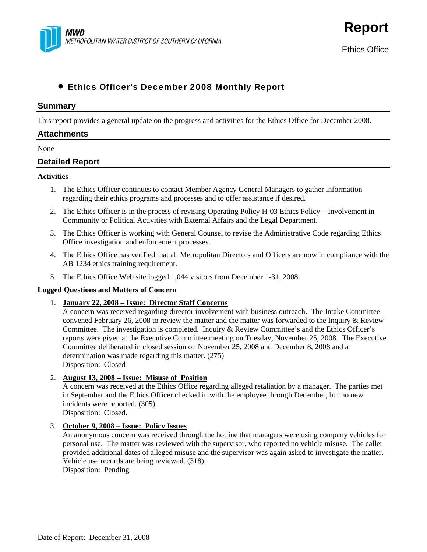

**Report**

# • Ethics Officer's December 2008 Monthly Report

#### **Summary**

This report provides a general update on the progress and activities for the Ethics Office for December 2008.

# **Attachments**

#### None

# **Detailed Report**

#### **Activities**

- 1. The Ethics Officer continues to contact Member Agency General Managers to gather information regarding their ethics programs and processes and to offer assistance if desired.
- 2. The Ethics Officer is in the process of revising Operating Policy H-03 Ethics Policy Involvement in Community or Political Activities with External Affairs and the Legal Department.
- 3. The Ethics Officer is working with General Counsel to revise the Administrative Code regarding Ethics Office investigation and enforcement processes.
- 4. The Ethics Office has verified that all Metropolitan Directors and Officers are now in compliance with the AB 1234 ethics training requirement.
- 5. The Ethics Office Web site logged 1,044 visitors from December 1-31, 2008.

#### **Logged Questions and Matters of Concern**

1. **January 22, 2008 – Issue: Director Staff Concerns**

A concern was received regarding director involvement with business outreach. The Intake Committee convened February 26, 2008 to review the matter and the matter was forwarded to the Inquiry & Review Committee. The investigation is completed. Inquiry & Review Committee's and the Ethics Officer's reports were given at the Executive Committee meeting on Tuesday, November 25, 2008. The Executive Committee deliberated in closed session on November 25, 2008 and December 8, 2008 and a determination was made regarding this matter. (275) Disposition: Closed

#### 2. **August 13, 2008 – Issue: Misuse of Position**

A concern was received at the Ethics Office regarding alleged retaliation by a manager. The parties met in September and the Ethics Officer checked in with the employee through December, but no new incidents were reported. (305) Disposition: Closed.

#### 3. **October 9, 2008 – Issue: Policy Issues**

An anonymous concern was received through the hotline that managers were using company vehicles for personal use. The matter was reviewed with the supervisor, who reported no vehicle misuse. The caller provided additional dates of alleged misuse and the supervisor was again asked to investigate the matter. Vehicle use records are being reviewed. (318) Disposition: Pending